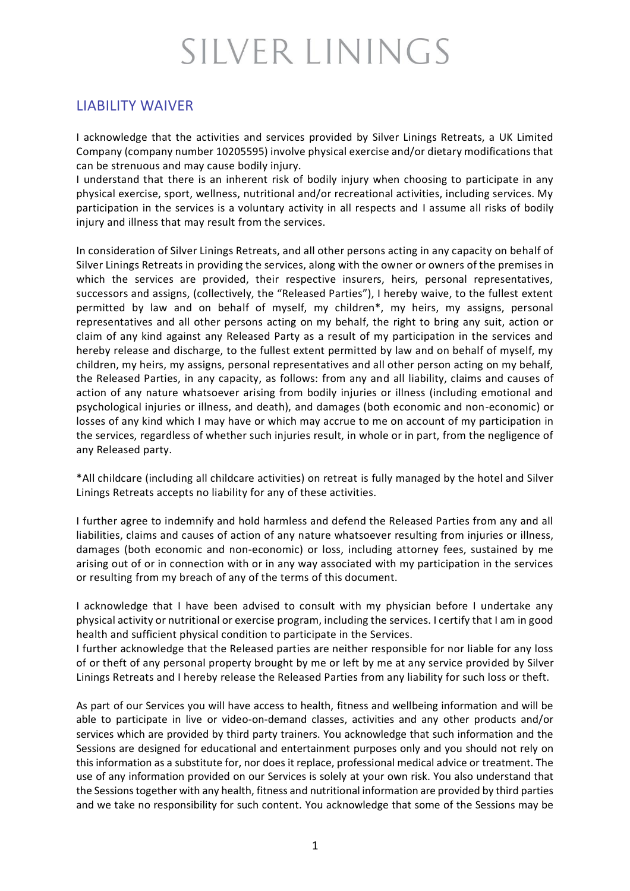## SILVER LININGS

## LIABILITY WAIVER

I acknowledge that the activities and services provided by Silver Linings Retreats, a UK Limited Company (company number 10205595) involve physical exercise and/or dietary modifications that can be strenuous and may cause bodily injury.

I understand that there is an inherent risk of bodily injury when choosing to participate in any physical exercise, sport, wellness, nutritional and/or recreational activities, including services. My participation in the services is a voluntary activity in all respects and I assume all risks of bodily injury and illness that may result from the services.

In consideration of Silver Linings Retreats, and all other persons acting in any capacity on behalf of Silver Linings Retreats in providing the services, along with the owner or owners of the premises in which the services are provided, their respective insurers, heirs, personal representatives, successors and assigns, (collectively, the "Released Parties"), I hereby waive, to the fullest extent permitted by law and on behalf of myself, my children\*, my heirs, my assigns, personal representatives and all other persons acting on my behalf, the right to bring any suit, action or claim of any kind against any Released Party as a result of my participation in the services and hereby release and discharge, to the fullest extent permitted by law and on behalf of myself, my children, my heirs, my assigns, personal representatives and all other person acting on my behalf, the Released Parties, in any capacity, as follows: from any and all liability, claims and causes of action of any nature whatsoever arising from bodily injuries or illness (including emotional and psychological injuries or illness, and death), and damages (both economic and non-economic) or losses of any kind which I may have or which may accrue to me on account of my participation in the services, regardless of whether such injuries result, in whole or in part, from the negligence of any Released party.

\*All childcare (including all childcare activities) on retreat is fully managed by the hotel and Silver Linings Retreats accepts no liability for any of these activities.

I further agree to indemnify and hold harmless and defend the Released Parties from any and all liabilities, claims and causes of action of any nature whatsoever resulting from injuries or illness, damages (both economic and non-economic) or loss, including attorney fees, sustained by me arising out of or in connection with or in any way associated with my participation in the services or resulting from my breach of any of the terms of this document.

I acknowledge that I have been advised to consult with my physician before I undertake any physical activity or nutritional or exercise program, including the services. I certify that I am in good health and sufficient physical condition to participate in the Services.

I further acknowledge that the Released parties are neither responsible for nor liable for any loss of or theft of any personal property brought by me or left by me at any service provided by Silver Linings Retreats and I hereby release the Released Parties from any liability for such loss or theft.

As part of our Services you will have access to health, fitness and wellbeing information and will be able to participate in live or video-on-demand classes, activities and any other products and/or services which are provided by third party trainers. You acknowledge that such information and the Sessions are designed for educational and entertainment purposes only and you should not rely on this information as a substitute for, nor does it replace, professional medical advice or treatment. The use of any information provided on our Services is solely at your own risk. You also understand that the Sessions together with any health, fitness and nutritional information are provided by third parties and we take no responsibility for such content. You acknowledge that some of the Sessions may be